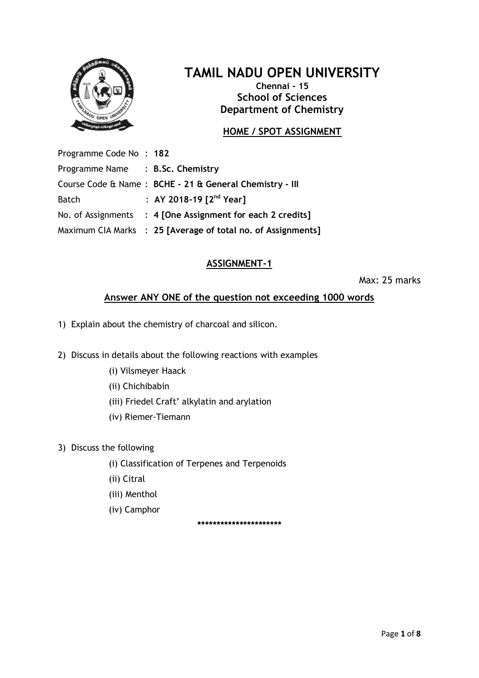

# **TAMIL NADU OPEN UNIVERSITY**

**Chennai - 15 School of Sciences Department of Chemistry**

## **HOME / SPOT ASSIGNMENT**

Programme Code No : **182** Programme Name : **B.Sc. Chemistry** Course Code & Name : **BCHE - 21 & General Chemistry - III** Batch : **AY 2018-19 [2 nd Year]** No. of Assignments : **4 [One Assignment for each 2 credits]** Maximum CIA Marks : **25 [Average of total no. of Assignments]**

## **ASSIGNMENT-1**

Max: 25 marks

### **Answer ANY ONE of the question not exceeding 1000 words**

- 1) Explain about the chemistry of charcoal and silicon.
- 2) Discuss in details about the following reactions with examples
	- (i) Vilsmeyer Haack
	- (ii) Chichibabin
	- (iii) Friedel Craft' alkylatin and arylation
	- (iv) Riemer-Tiemann
- 3) Discuss the following
	- (i) Classification of Terpenes and Terpenoids
	- (ii) Citral
	- (iii) Menthol
	- (iv) Camphor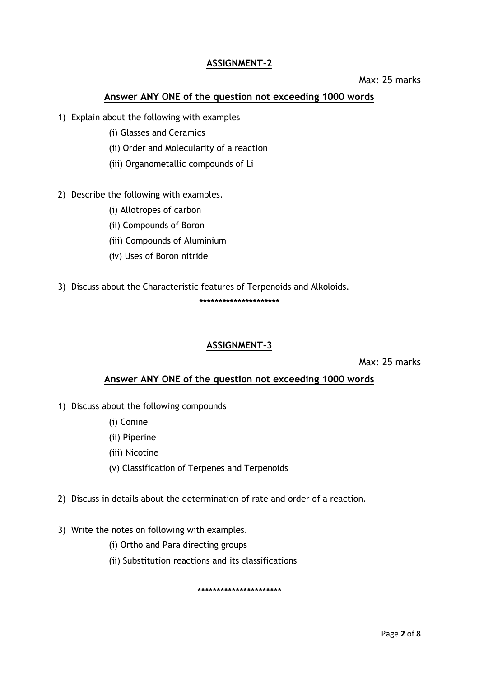#### Max: 25 marks

### **Answer ANY ONE of the question not exceeding 1000 words**

- 1) Explain about the following with examples
	- (i) Glasses and Ceramics
	- (ii) Order and Molecularity of a reaction
	- (iii) Organometallic compounds of Li
- 2) Describe the following with examples.
	- (i) Allotropes of carbon
	- (ii) Compounds of Boron
	- (iii) Compounds of Aluminium
	- (iv) Uses of Boron nitride
- 3) Discuss about the Characteristic features of Terpenoids and Alkoloids. **\*\*\*\*\*\*\*\*\*\*\*\*\*\*\*\*\*\*\*\*\***

#### **ASSIGNMENT-3**

Max: 25 marks

#### **Answer ANY ONE of the question not exceeding 1000 words**

- 1) Discuss about the following compounds
	- (i) Conine
	- (ii) Piperine
	- (iii) Nicotine
	- (v) Classification of Terpenes and Terpenoids
- 2) Discuss in details about the determination of rate and order of a reaction.
- 3) Write the notes on following with examples.
	- (i) Ortho and Para directing groups
	- (ii) Substitution reactions and its classifications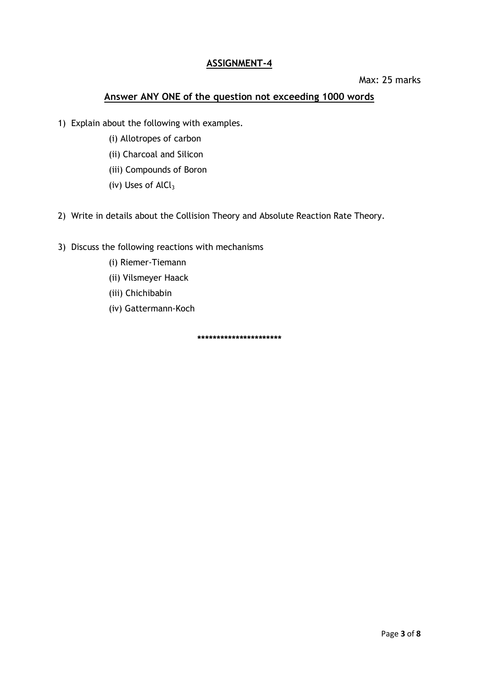#### Max: 25 marks

## **Answer ANY ONE of the question not exceeding 1000 words**

- 1) Explain about the following with examples.
	- (i) Allotropes of carbon
	- (ii) Charcoal and Silicon
	- (iii) Compounds of Boron
	- (iv) Uses of  $AlCl<sub>3</sub>$
- 2) Write in details about the Collision Theory and Absolute Reaction Rate Theory.
- 3) Discuss the following reactions with mechanisms
	- (i) Riemer-Tiemann
	- (ii) Vilsmeyer Haack
	- (iii) Chichibabin
	- (iv) Gattermann-Koch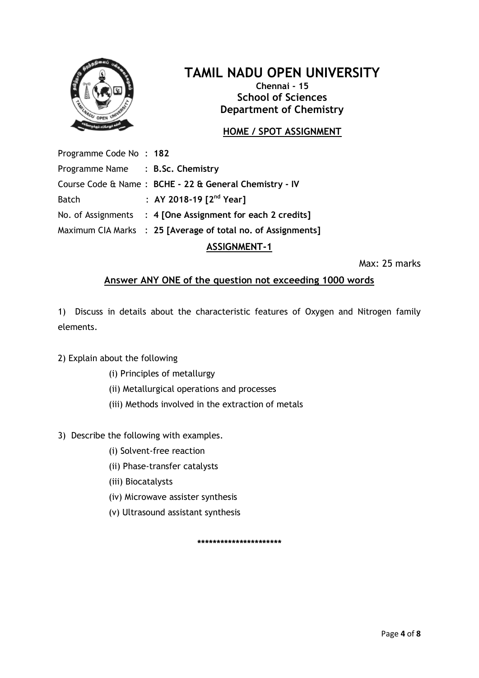

## **TAMIL NADU OPEN UNIVERSITY**

**Chennai - 15 School of Sciences Department of Chemistry**

## **HOME / SPOT ASSIGNMENT**

Programme Code No : **182** Programme Name : **B.Sc. Chemistry** Course Code & Name : **BCHE - 22 & General Chemistry - IV** Batch : **AY 2018-19 [2 nd Year]** No. of Assignments : **4 [One Assignment for each 2 credits]** Maximum CIA Marks : **25 [Average of total no. of Assignments]**

## **ASSIGNMENT-1**

Max: 25 marks

#### **Answer ANY ONE of the question not exceeding 1000 words**

1) Discuss in details about the characteristic features of Oxygen and Nitrogen family elements.

#### 2) Explain about the following

- (i) Principles of metallurgy
- (ii) Metallurgical operations and processes
- (iii) Methods involved in the extraction of metals
- 3) Describe the following with examples.
	- (i) Solvent-free reaction
	- (ii) Phase-transfer catalysts
	- (iii) Biocatalysts
	- (iv) Microwave assister synthesis
	- (v) Ultrasound assistant synthesis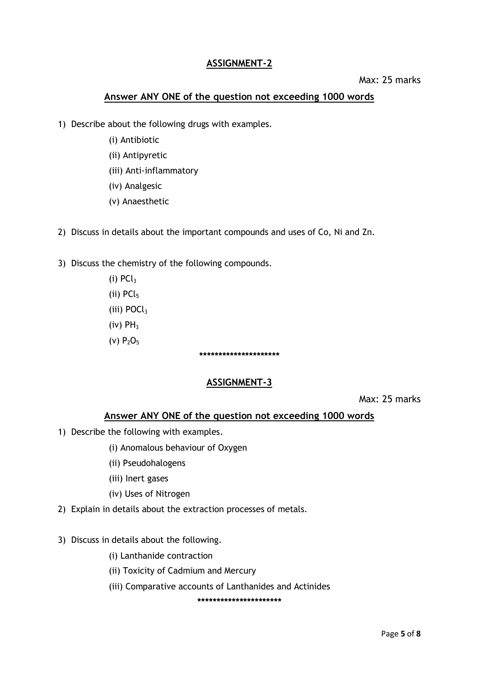#### Max: 25 marks

#### **Answer ANY ONE of the question not exceeding 1000 words**

- 1) Describe about the following drugs with examples.
	- (i) Antibiotic
	- (ii) Antipyretic
	- (iii) Anti-inflammatory
	- (iv) Analgesic
	- (v) Anaesthetic
- 2) Discuss in details about the important compounds and uses of Co, Ni and Zn.
- 3) Discuss the chemistry of the following compounds.
	- $(i)$  PC $l_3$ (ii)  $PCl<sub>5</sub>$ (iii) POCl<sub>3</sub>  $(iv)$  PH<sub>3</sub> (v)  $P_2O_5$

## **\*\*\*\*\*\*\*\*\*\*\*\*\*\*\*\*\*\*\*\*\***

#### **ASSIGNMENT-3**

Max: 25 marks

#### **Answer ANY ONE of the question not exceeding 1000 words**

- 1) Describe the following with examples.
	- (i) Anomalous behaviour of Oxygen
	- (ii) Pseudohalogens
	- (iii) Inert gases
	- (iv) Uses of Nitrogen
- 2) Explain in details about the extraction processes of metals.
- 3) Discuss in details about the following.
	- (i) Lanthanide contraction
	- (ii) Toxicity of Cadmium and Mercury
	- (iii) Comparative accounts of Lanthanides and Actinides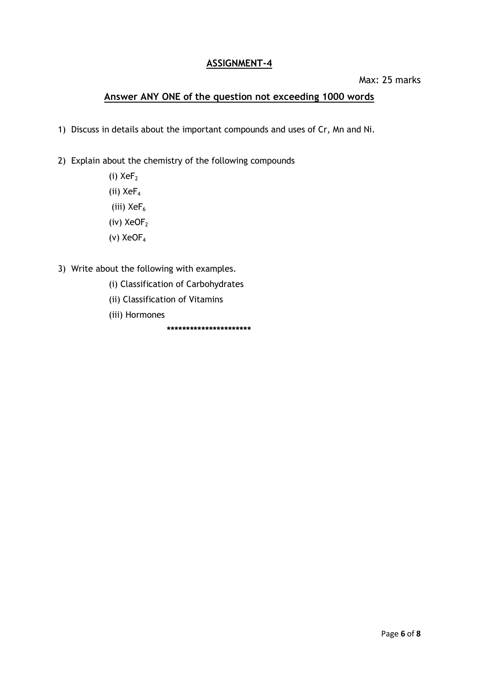#### Max: 25 marks

## **Answer ANY ONE of the question not exceeding 1000 words**

- 1) Discuss in details about the important compounds and uses of Cr, Mn and Ni.
- 2) Explain about the chemistry of the following compounds

(i)  $XeF<sub>2</sub>$ (ii)  $XeF_4$ (iii)  $XeF_6$ (iv)  $XeOF<sub>2</sub>$ (v) XeOF<sup>4</sup>

- 3) Write about the following with examples.
	- (i) Classification of Carbohydrates
	- (ii) Classification of Vitamins
	- (iii) Hormones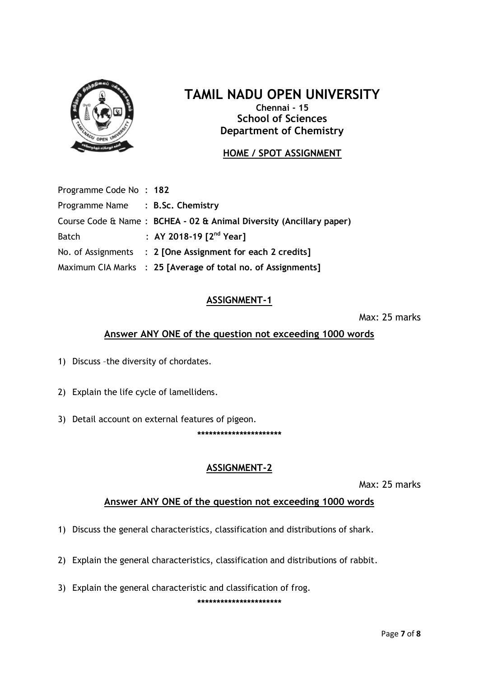

## **TAMIL NADU OPEN UNIVERSITY**

**Chennai - 15 School of Sciences Department of Chemistry**

## **HOME / SPOT ASSIGNMENT**

| Programme Code No: 182           |                                                                     |
|----------------------------------|---------------------------------------------------------------------|
| Programme Name : B.Sc. Chemistry |                                                                     |
|                                  | Course Code & Name: BCHEA - 02 & Animal Diversity (Ancillary paper) |
| <b>Batch</b>                     | : AY 2018-19 $[2^{nd}$ Year]                                        |
|                                  | No. of Assignments : 2 [One Assignment for each 2 credits]          |
|                                  | Maximum CIA Marks : 25 [Average of total no. of Assignments]        |

## **ASSIGNMENT-1**

Max: 25 marks

## **Answer ANY ONE of the question not exceeding 1000 words**

- 1) Discuss –the diversity of chordates.
- 2) Explain the life cycle of lamellidens.
- 3) Detail account on external features of pigeon.

**\*\*\*\*\*\*\*\*\*\*\*\*\*\*\*\*\*\*\*\*\*\***

## **ASSIGNMENT-2**

Max: 25 marks

#### **Answer ANY ONE of the question not exceeding 1000 words**

- 1) Discuss the general characteristics, classification and distributions of shark.
- 2) Explain the general characteristics, classification and distributions of rabbit.
- 3) Explain the general characteristic and classification of frog.